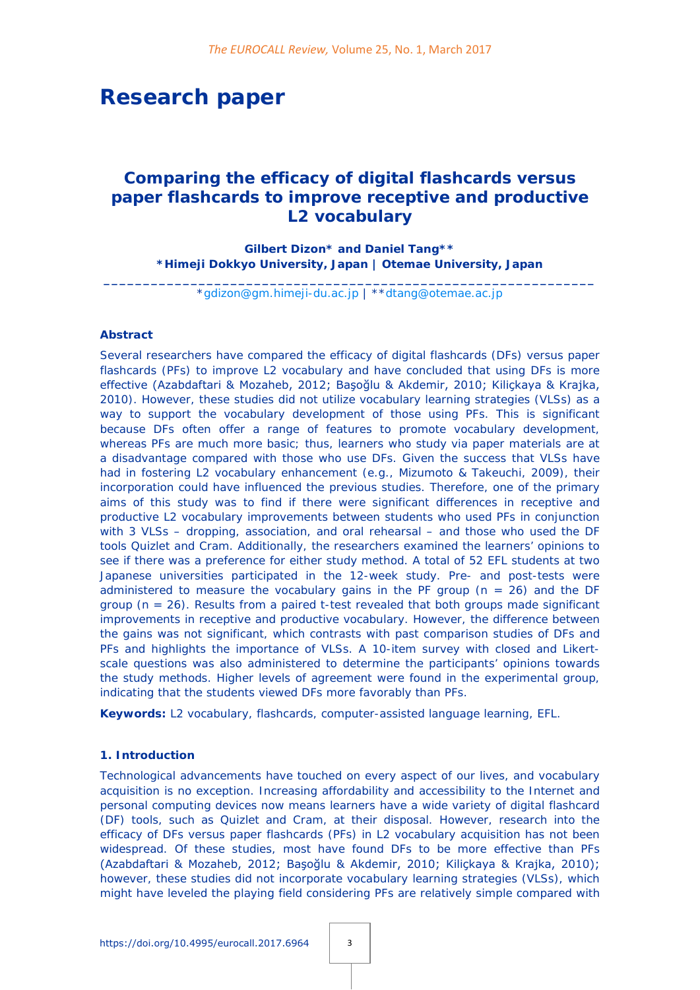# **Research paper**

## *Comparing the efficacy of digital flashcards versus paper flashcards to improve receptive and productive L2 vocabulary*

**Gilbert Dizon\* and Daniel Tang\*\* \*Himeji Dokkyo University, Japan | Otemae University, Japan**

**\_\_\_\_\_\_\_\_\_\_\_\_\_\_\_\_\_\_\_\_\_\_\_\_\_\_\_\_\_\_\_\_\_\_\_\_\_\_\_\_\_\_\_\_\_\_\_\_\_\_\_\_\_\_\_\_\_\_\_\_\_\_** [\\*gdizon@gm.himeji-du.ac.jp](mailto:gdizon@gm.himeji-du.ac.jp) | \*[\\*dtang@otemae.ac.jp](mailto:dtang@otemae.ac.jp)

#### **Abstract**

Several researchers have compared the efficacy of digital flashcards (DFs) versus paper flashcards (PFs) to improve L2 vocabulary and have concluded that using DFs is more effective (Azabdaftari & Mozaheb, 2012; Başoğlu & Akdemir, 2010; Kiliçkaya & Krajka, 2010). However, these studies did not utilize vocabulary learning strategies (VLSs) as a way to support the vocabulary development of those using PFs. This is significant because DFs often offer a range of features to promote vocabulary development, whereas PFs are much more basic; thus, learners who study via paper materials are at a disadvantage compared with those who use DFs. Given the success that VLSs have had in fostering L2 vocabulary enhancement (e.g., Mizumoto & Takeuchi, 2009), their incorporation could have influenced the previous studies. Therefore, one of the primary aims of this study was to find if there were significant differences in receptive and productive L2 vocabulary improvements between students who used PFs in conjunction with 3 VLSs – dropping, association, and oral rehearsal – and those who used the DF tools Quizlet and Cram. Additionally, the researchers examined the learners' opinions to see if there was a preference for either study method. A total of 52 EFL students at two Japanese universities participated in the 12-week study. Pre- and post-tests were administered to measure the vocabulary gains in the PF group  $(n = 26)$  and the DF group ( $n = 26$ ). Results from a paired t-test revealed that both groups made significant improvements in receptive and productive vocabulary. However, the difference between the gains was not significant, which contrasts with past comparison studies of DFs and PFs and highlights the importance of VLSs. A 10-item survey with closed and Likertscale questions was also administered to determine the participants' opinions towards the study methods. Higher levels of agreement were found in the experimental group, indicating that the students viewed DFs more favorably than PFs.

**Keywords:** L2 vocabulary, flashcards, computer-assisted language learning, EFL.

## **1. Introduction**

Technological advancements have touched on every aspect of our lives, and vocabulary acquisition is no exception. Increasing affordability and accessibility to the Internet and personal computing devices now means learners have a wide variety of digital flashcard (DF) tools, such as Quizlet and Cram, at their disposal. However, research into the efficacy of DFs versus paper flashcards (PFs) in L2 vocabulary acquisition has not been widespread. Of these studies, most have found DFs to be more effective than PFs (Azabdaftari & Mozaheb, 2012; Başoğlu & Akdemir, 2010; Kiliçkaya & Krajka, 2010); however, these studies did not incorporate vocabulary learning strategies (VLSs), which might have leveled the playing field considering PFs are relatively simple compared with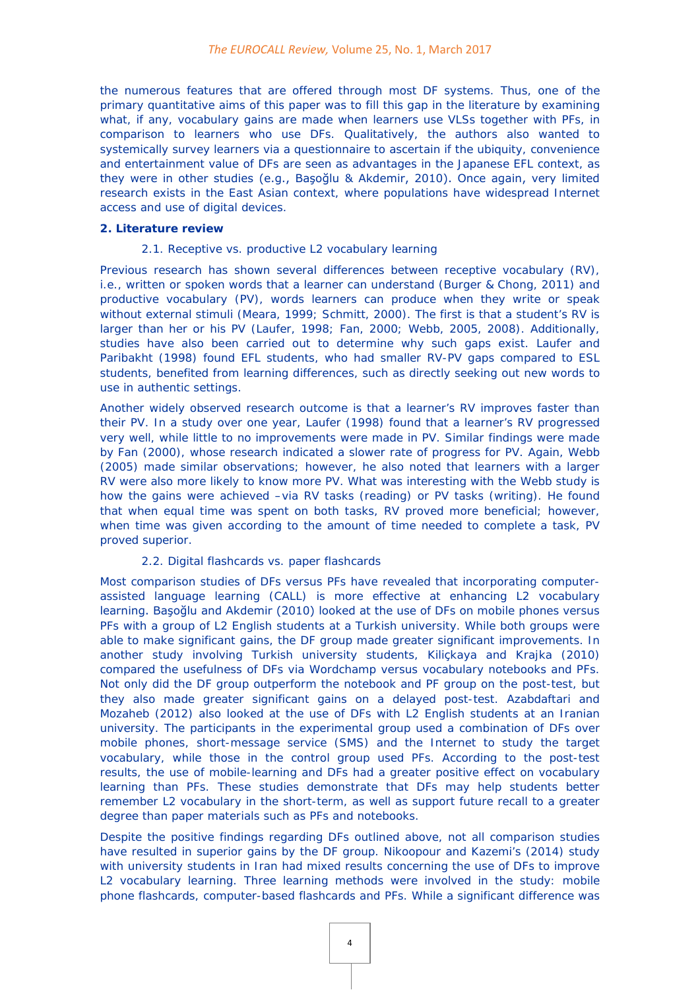the numerous features that are offered through most DF systems. Thus, one of the primary quantitative aims of this paper was to fill this gap in the literature by examining what, if any, vocabulary gains are made when learners use VLSs together with PFs, in comparison to learners who use DFs. Qualitatively, the authors also wanted to systemically survey learners via a questionnaire to ascertain if the ubiquity, convenience and entertainment value of DFs are seen as advantages in the Japanese EFL context, as they were in other studies (e.g., Başoğlu & Akdemir, 2010). Once again, very limited research exists in the East Asian context, where populations have widespread Internet access and use of digital devices.

#### **2. Literature review**

#### *2.1. Receptive vs. productive L2 vocabulary learning*

Previous research has shown several differences between receptive vocabulary (RV), i.e., written or spoken words that a learner can understand (Burger & Chong, 2011) and productive vocabulary (PV), words learners can produce when they write or speak without external stimuli (Meara, 1999; Schmitt, 2000). The first is that a student's RV is larger than her or his PV (Laufer, 1998; Fan, 2000; Webb, 2005, 2008). Additionally, studies have also been carried out to determine why such gaps exist. Laufer and Paribakht (1998) found EFL students, who had smaller RV-PV gaps compared to ESL students, benefited from learning differences, such as directly seeking out new words to use in authentic settings.

Another widely observed research outcome is that a learner's RV improves faster than their PV. In a study over one year, Laufer (1998) found that a learner's RV progressed very well, while little to no improvements were made in PV. Similar findings were made by Fan (2000), whose research indicated a slower rate of progress for PV. Again, Webb (2005) made similar observations; however, he also noted that learners with a larger RV were also more likely to know more PV. What was interesting with the Webb study is how the gains were achieved –via RV tasks (reading) or PV tasks (writing). He found that when equal time was spent on both tasks, RV proved more beneficial; however, when time was given according to the amount of time needed to complete a task, PV proved superior.

## *2.2. Digital flashcards vs. paper flashcards*

Most comparison studies of DFs versus PFs have revealed that incorporating computerassisted language learning (CALL) is more effective at enhancing L2 vocabulary learning. Başoğlu and Akdemir (2010) looked at the use of DFs on mobile phones versus PFs with a group of L2 English students at a Turkish university. While both groups were able to make significant gains, the DF group made greater significant improvements. In another study involving Turkish university students, Kiliçkaya and Krajka (2010) compared the usefulness of DFs via Wordchamp versus vocabulary notebooks and PFs. Not only did the DF group outperform the notebook and PF group on the post-test, but they also made greater significant gains on a delayed post-test. Azabdaftari and Mozaheb (2012) also looked at the use of DFs with L2 English students at an Iranian university. The participants in the experimental group used a combination of DFs over mobile phones, short-message service (SMS) and the Internet to study the target vocabulary, while those in the control group used PFs. According to the post-test results, the use of mobile-learning and DFs had a greater positive effect on vocabulary learning than PFs. These studies demonstrate that DFs may help students better remember L2 vocabulary in the short-term, as well as support future recall to a greater degree than paper materials such as PFs and notebooks.

Despite the positive findings regarding DFs outlined above, not all comparison studies have resulted in superior gains by the DF group. Nikoopour and Kazemi's (2014) study with university students in Iran had mixed results concerning the use of DFs to improve L2 vocabulary learning. Three learning methods were involved in the study: mobile phone flashcards, computer-based flashcards and PFs. While a significant difference was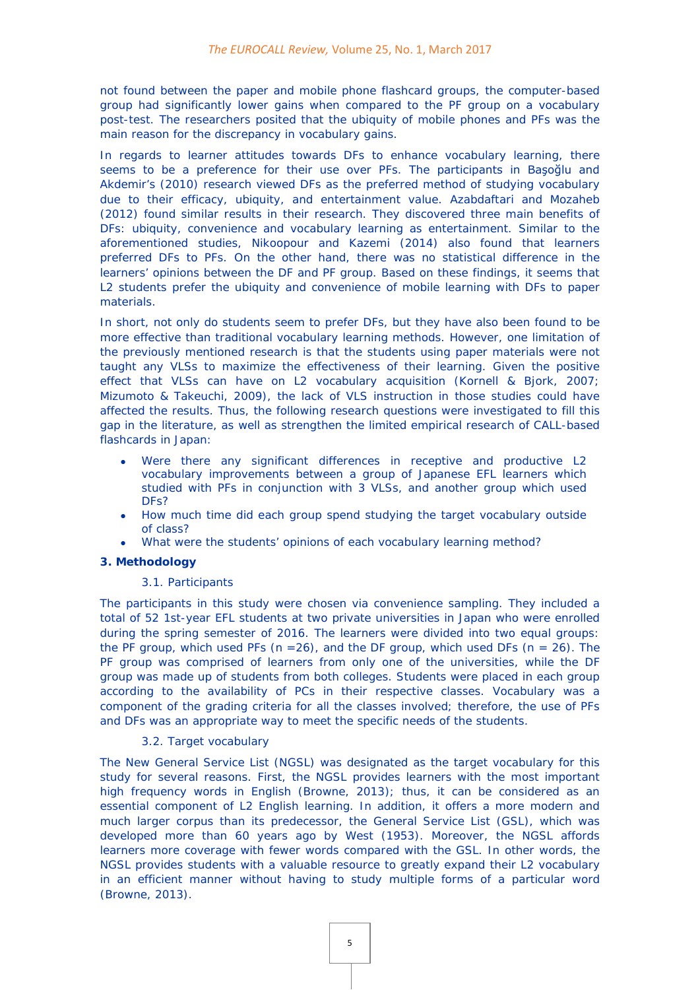not found between the paper and mobile phone flashcard groups, the computer-based group had significantly lower gains when compared to the PF group on a vocabulary post-test. The researchers posited that the ubiquity of mobile phones and PFs was the main reason for the discrepancy in vocabulary gains.

In regards to learner attitudes towards DFs to enhance vocabulary learning, there seems to be a preference for their use over PFs. The participants in Başoğlu and Akdemir's (2010) research viewed DFs as the preferred method of studying vocabulary due to their efficacy, ubiquity, and entertainment value. Azabdaftari and Mozaheb (2012) found similar results in their research. They discovered three main benefits of DFs: ubiquity, convenience and vocabulary learning as entertainment. Similar to the aforementioned studies, Nikoopour and Kazemi (2014) also found that learners preferred DFs to PFs. On the other hand, there was no statistical difference in the learners' opinions between the DF and PF group. Based on these findings, it seems that L2 students prefer the ubiquity and convenience of mobile learning with DFs to paper materials.

In short, not only do students seem to prefer DFs, but they have also been found to be more effective than traditional vocabulary learning methods. However, one limitation of the previously mentioned research is that the students using paper materials were not taught any VLSs to maximize the effectiveness of their learning. Given the positive effect that VLSs can have on L2 vocabulary acquisition (Kornell & Bjork, 2007; Mizumoto & Takeuchi, 2009), the lack of VLS instruction in those studies could have affected the results. Thus, the following research questions were investigated to fill this gap in the literature, as well as strengthen the limited empirical research of CALL-based flashcards in Japan:

- Were there any significant differences in receptive and productive L2 vocabulary improvements between a group of Japanese EFL learners which studied with PFs in conjunction with 3 VLSs, and another group which used DFs?
- How much time did each group spend studying the target vocabulary outside of class?
- What were the students' opinions of each vocabulary learning method?

#### **3. Methodology**

#### *3.1. Participants*

The participants in this study were chosen via convenience sampling. They included a total of 52 1st-year EFL students at two private universities in Japan who were enrolled during the spring semester of 2016. The learners were divided into two equal groups: the PF group, which used PFs  $(n = 26)$ , and the DF group, which used DFs  $(n = 26)$ . The PF group was comprised of learners from only one of the universities, while the DF group was made up of students from both colleges. Students were placed in each group according to the availability of PCs in their respective classes. Vocabulary was a component of the grading criteria for all the classes involved; therefore, the use of PFs and DFs was an appropriate way to meet the specific needs of the students.

#### *3.2. Target vocabulary*

The New General Service List (NGSL) was designated as the target vocabulary for this study for several reasons. First, the NGSL provides learners with the most important high frequency words in English (Browne, 2013); thus, it can be considered as an essential component of L2 English learning. In addition, it offers a more modern and much larger corpus than its predecessor, the General Service List (GSL), which was developed more than 60 years ago by West (1953). Moreover, the NGSL affords learners more coverage with fewer words compared with the GSL. In other words, the NGSL provides students with a valuable resource to greatly expand their L2 vocabulary in an efficient manner without having to study multiple forms of a particular word (Browne, 2013).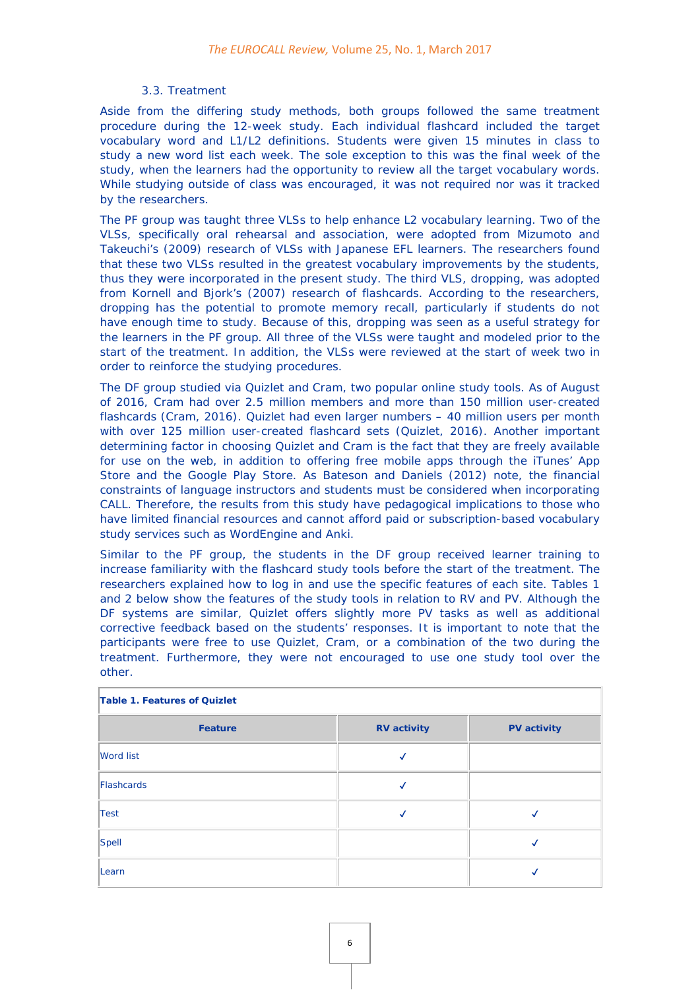#### *3.3. Treatment*

Aside from the differing study methods, both groups followed the same treatment procedure during the 12-week study. Each individual flashcard included the target vocabulary word and L1/L2 definitions. Students were given 15 minutes in class to study a new word list each week. The sole exception to this was the final week of the study, when the learners had the opportunity to review all the target vocabulary words. While studying outside of class was encouraged, it was not required nor was it tracked by the researchers.

The PF group was taught three VLSs to help enhance L2 vocabulary learning. Two of the VLSs, specifically oral rehearsal and association, were adopted from Mizumoto and Takeuchi's (2009) research of VLSs with Japanese EFL learners. The researchers found that these two VLSs resulted in the greatest vocabulary improvements by the students, thus they were incorporated in the present study. The third VLS, dropping, was adopted from Kornell and Bjork's (2007) research of flashcards. According to the researchers, dropping has the potential to promote memory recall, particularly if students do not have enough time to study. Because of this, dropping was seen as a useful strategy for the learners in the PF group. All three of the VLSs were taught and modeled prior to the start of the treatment. In addition, the VLSs were reviewed at the start of week two in order to reinforce the studying procedures.

The DF group studied via Quizlet and Cram, two popular online study tools. As of August of 2016, Cram had over 2.5 million members and more than 150 million user-created flashcards (Cram, 2016). Quizlet had even larger numbers – 40 million users per month with over 125 million user-created flashcard sets (Quizlet, 2016). Another important determining factor in choosing Quizlet and Cram is the fact that they are freely available for use on the web, in addition to offering free mobile apps through the iTunes' App Store and the Google Play Store. As Bateson and Daniels (2012) note, the financial constraints of language instructors and students must be considered when incorporating CALL. Therefore, the results from this study have pedagogical implications to those who have limited financial resources and cannot afford paid or subscription-based vocabulary study services such as WordEngine and Anki.

Similar to the PF group, the students in the DF group received learner training to increase familiarity with the flashcard study tools before the start of the treatment. The researchers explained how to log in and use the specific features of each site. Tables 1 and 2 below show the features of the study tools in relation to RV and PV. Although the DF systems are similar, Quizlet offers slightly more PV tasks as well as additional corrective feedback based on the students' responses. It is important to note that the participants were free to use Quizlet, Cram, or a combination of the two during the treatment. Furthermore, they were not encouraged to use one study tool over the other.

| Table 1. Features of Quizlet |                    |                    |  |
|------------------------------|--------------------|--------------------|--|
| <b>Feature</b>               | <b>RV</b> activity | <b>PV</b> activity |  |
| <b>Word list</b>             |                    |                    |  |
| Flashcards                   |                    |                    |  |
| Test                         |                    |                    |  |
| Spell                        |                    |                    |  |
| Learn                        |                    |                    |  |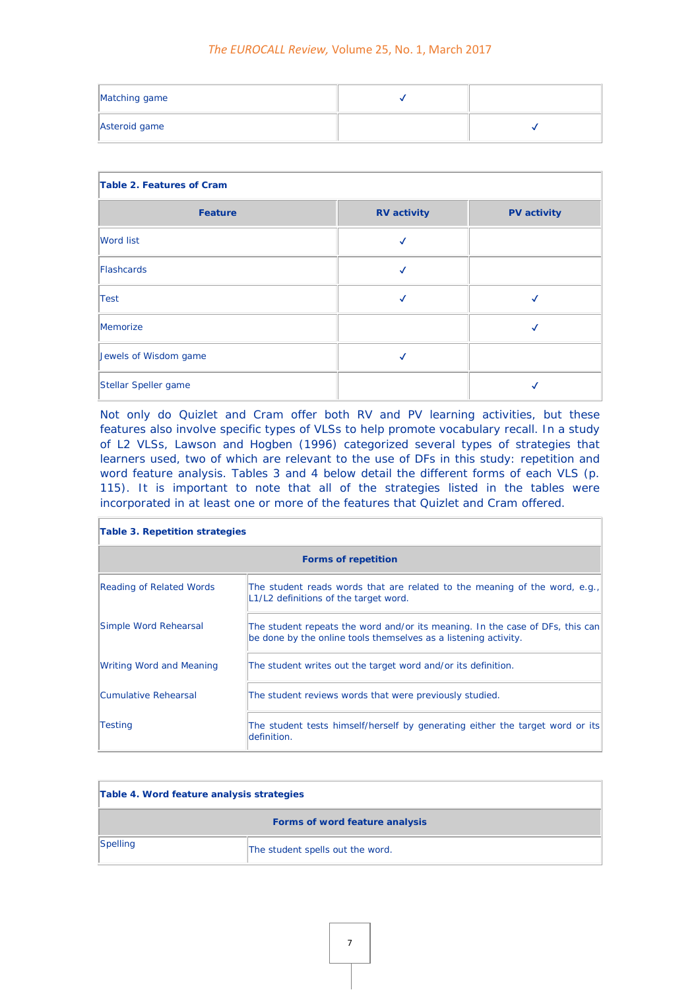| Matching game |  |
|---------------|--|
| Asteroid game |  |

| Table 2. Features of Cram |                    |                    |  |
|---------------------------|--------------------|--------------------|--|
| <b>Feature</b>            | <b>RV</b> activity | <b>PV</b> activity |  |
| <b>Word list</b>          |                    |                    |  |
| Flashcards                |                    |                    |  |
| Test                      |                    |                    |  |
| Memorize                  |                    |                    |  |
| Jewels of Wisdom game     |                    |                    |  |
| Stellar Speller game      |                    |                    |  |

Not only do Quizlet and Cram offer both RV and PV learning activities, but these features also involve specific types of VLSs to help promote vocabulary recall. In a study of L2 VLSs, Lawson and Hogben (1996) categorized several types of strategies that learners used, two of which are relevant to the use of DFs in this study: repetition and word feature analysis. Tables 3 and 4 below detail the different forms of each VLS (p. 115). It is important to note that all of the strategies listed in the tables were incorporated in at least one or more of the features that Quizlet and Cram offered.

| Table 3. Repetition strategies  |                                                                                                                                                  |  |
|---------------------------------|--------------------------------------------------------------------------------------------------------------------------------------------------|--|
| <b>Forms of repetition</b>      |                                                                                                                                                  |  |
| <b>Reading of Related Words</b> | The student reads words that are related to the meaning of the word, e.g.,<br>L1/L2 definitions of the target word.                              |  |
| Simple Word Rehearsal           | The student repeats the word and/or its meaning. In the case of DFs, this can<br>be done by the online tools themselves as a listening activity. |  |
| <b>Writing Word and Meaning</b> | The student writes out the target word and/or its definition.                                                                                    |  |
| Cumulative Rehearsal            | The student reviews words that were previously studied.                                                                                          |  |
| <b>Testing</b>                  | The student tests himself/herself by generating either the target word or its<br>definition.                                                     |  |

| Table 4. Word feature analysis strategies |                                  |  |
|-------------------------------------------|----------------------------------|--|
| Forms of word feature analysis            |                                  |  |
| $ S$ <i>pelling</i>                       | The student spells out the word. |  |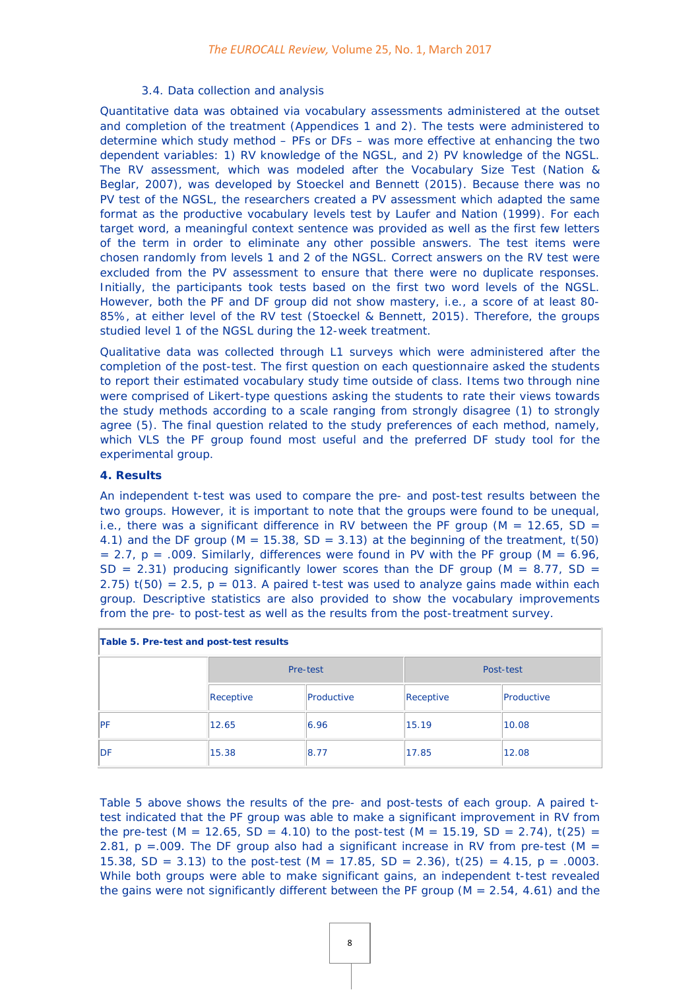#### *3.4. Data collection and analysis*

Quantitative data was obtained via vocabulary assessments administered at the outset and completion of the treatment (Appendices 1 and 2). The tests were administered to determine which study method – PFs or DFs – was more effective at enhancing the two dependent variables: 1) RV knowledge of the NGSL, and 2) PV knowledge of the NGSL. The RV assessment, which was modeled after the Vocabulary Size Test (Nation & Beglar, 2007), was developed by Stoeckel and Bennett (2015). Because there was no PV test of the NGSL, the researchers created a PV assessment which adapted the same format as the productive vocabulary levels test by Laufer and Nation (1999). For each target word, a meaningful context sentence was provided as well as the first few letters of the term in order to eliminate any other possible answers. The test items were chosen randomly from levels 1 and 2 of the NGSL. Correct answers on the RV test were excluded from the PV assessment to ensure that there were no duplicate responses. Initially, the participants took tests based on the first two word levels of the NGSL. However, both the PF and DF group did not show mastery, i.e., a score of at least 80- 85%, at either level of the RV test (Stoeckel & Bennett, 2015). Therefore, the groups studied level 1 of the NGSL during the 12-week treatment.

Qualitative data was collected through L1 surveys which were administered after the completion of the post-test. The first question on each questionnaire asked the students to report their estimated vocabulary study time outside of class. Items two through nine were comprised of Likert-type questions asking the students to rate their views towards the study methods according to a scale ranging from strongly disagree (1) to strongly agree (5). The final question related to the study preferences of each method, namely, which VLS the PF group found most useful and the preferred DF study tool for the experimental group.

#### **4. Results**

An independent t-test was used to compare the pre- and post-test results between the two groups. However, it is important to note that the groups were found to be unequal, i.e., there was a significant difference in RV between the PF group ( $M = 12.65$ , SD = 4.1) and the DF group ( $M = 15.38$ ,  $SD = 3.13$ ) at the beginning of the treatment, t(50)  $= 2.7$ , p  $= .009$ . Similarly, differences were found in PV with the PF group (M  $= 6.96$ , SD = 2.31) producing significantly lower scores than the DF group ( $M = 8.77$ , SD = 2.75)  $t(50) = 2.5$ ,  $p = 013$ . A paired t-test was used to analyze gains made within each group. Descriptive statistics are also provided to show the vocabulary improvements from the pre- to post-test as well as the results from the post-treatment survey.

| Table 5. Pre-test and post-test results |           |            |           |            |
|-----------------------------------------|-----------|------------|-----------|------------|
|                                         | Pre-test  |            | Post-test |            |
|                                         | Receptive | Productive | Receptive | Productive |
| PF                                      | 12.65     | 6.96       | 15.19     | 10.08      |
| <b>IDF</b>                              | 15.38     | 8.77       | 17.85     | 12.08      |

Table 5 above shows the results of the pre- and post-tests of each group. A paired ttest indicated that the PF group was able to make a significant improvement in RV from the pre-test  $(M = 12.65, SD = 4.10)$  to the post-test  $(M = 15.19, SD = 2.74)$ ,  $t(25) =$ 2.81,  $p = 0.009$ . The DF group also had a significant increase in RV from pre-test (M = 15.38, SD = 3.13) to the post-test  $(M = 17.85, SD = 2.36)$ ,  $t(25) = 4.15$ ,  $p = .0003$ . While both groups were able to make significant gains, an independent t-test revealed the gains were not significantly different between the PF group ( $M = 2.54$ , 4.61) and the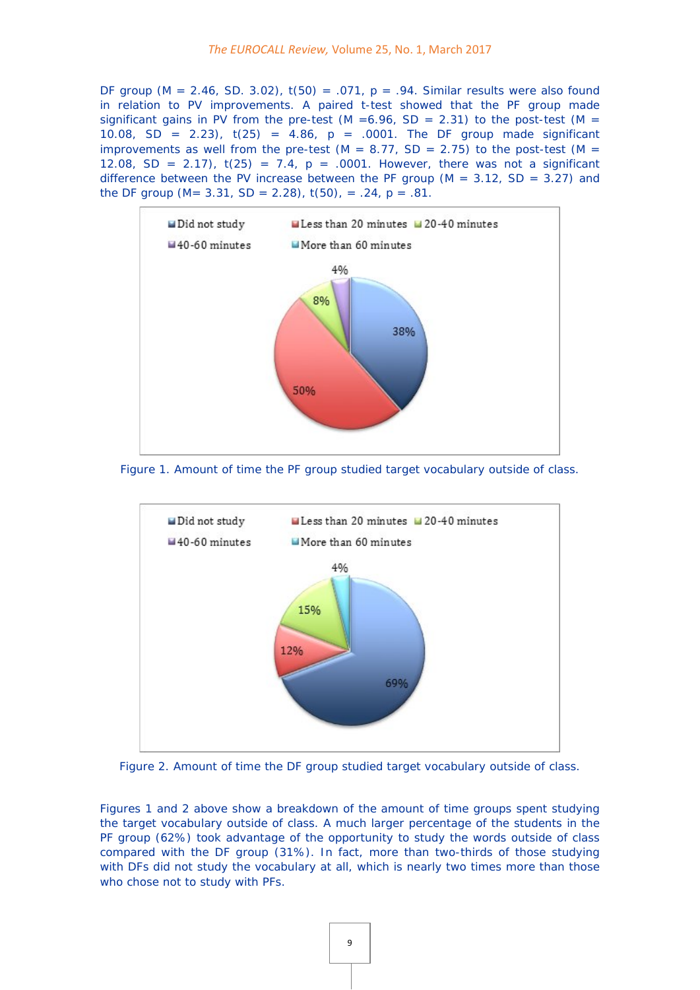DF group ( $M = 2.46$ , SD. 3.02),  $t(50) = .071$ ,  $p = .94$ . Similar results were also found in relation to PV improvements. A paired t-test showed that the PF group made significant gains in PV from the pre-test (M = 6.96, SD = 2.31) to the post-test (M = 10.08, SD = 2.23),  $t(25) = 4.86$ ,  $p = .0001$ . The DF group made significant improvements as well from the pre-test (M =  $8.77$ , SD =  $2.75$ ) to the post-test (M = 12.08, SD = 2.17),  $t(25) = 7.4$ ,  $p = .0001$ . However, there was not a significant difference between the PV increase between the PF group ( $M = 3.12$ , SD = 3.27) and the DF group (M=  $3.31$ , SD =  $2.28$ ), t(50), =  $.24$ , p =  $.81$ .



Figure 1. Amount of time the PF group studied target vocabulary outside of class.



Figure 2. Amount of time the DF group studied target vocabulary outside of class.

Figures 1 and 2 above show a breakdown of the amount of time groups spent studying the target vocabulary outside of class. A much larger percentage of the students in the PF group (62%) took advantage of the opportunity to study the words outside of class compared with the DF group (31%). In fact, more than two-thirds of those studying with DFs did not study the vocabulary at all, which is nearly two times more than those who chose not to study with PFs.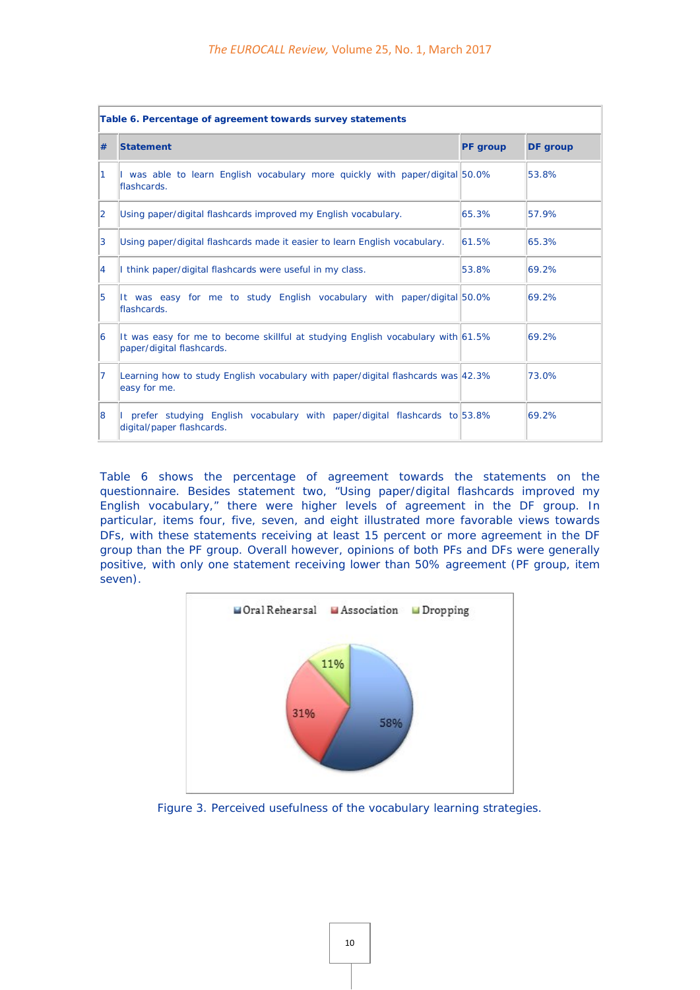| Table 6. Percentage of agreement towards survey statements |                                                                                                                 |                 |                 |  |
|------------------------------------------------------------|-----------------------------------------------------------------------------------------------------------------|-----------------|-----------------|--|
| #                                                          | <b>Statement</b>                                                                                                | <b>PF</b> group | <b>DF</b> group |  |
| $\vert$ 1                                                  | I was able to learn English vocabulary more quickly with paper/digital 50.0%<br>flashcards.                     |                 | 53.8%           |  |
| $\overline{2}$                                             | Using paper/digital flashcards improved my English vocabulary.                                                  | 65.3%           | 57.9%           |  |
| 3                                                          | Using paper/digital flashcards made it easier to learn English vocabulary.                                      | 61.5%           | 65.3%           |  |
| $\overline{4}$                                             | I think paper/digital flashcards were useful in my class.                                                       | 53.8%           | 69.2%           |  |
| 5                                                          | It was easy for me to study English vocabulary with paper/digital 50.0%<br>flashcards.                          |                 | 69.2%           |  |
| 16                                                         | It was easy for me to become skillful at studying English vocabulary with $61.5\%$<br>paper/digital flashcards. |                 | 69.2%           |  |
| $\overline{7}$                                             | Learning how to study English vocabulary with paper/digital flashcards was 42.3%<br>easy for me.                |                 | 73.0%           |  |
| 8                                                          | I prefer studying English vocabulary with paper/digital flashcards to 53.8%<br>digital/paper flashcards.        |                 | 69.2%           |  |

Table 6 shows the percentage of agreement towards the statements on the questionnaire. Besides statement two, "Using paper/digital flashcards improved my English vocabulary," there were higher levels of agreement in the DF group. In particular, items four, five, seven, and eight illustrated more favorable views towards DFs, with these statements receiving at least 15 percent or more agreement in the DF group than the PF group. Overall however, opinions of both PFs and DFs were generally positive, with only one statement receiving lower than 50% agreement (PF group, item seven).



Figure 3. Perceived usefulness of the vocabulary learning strategies.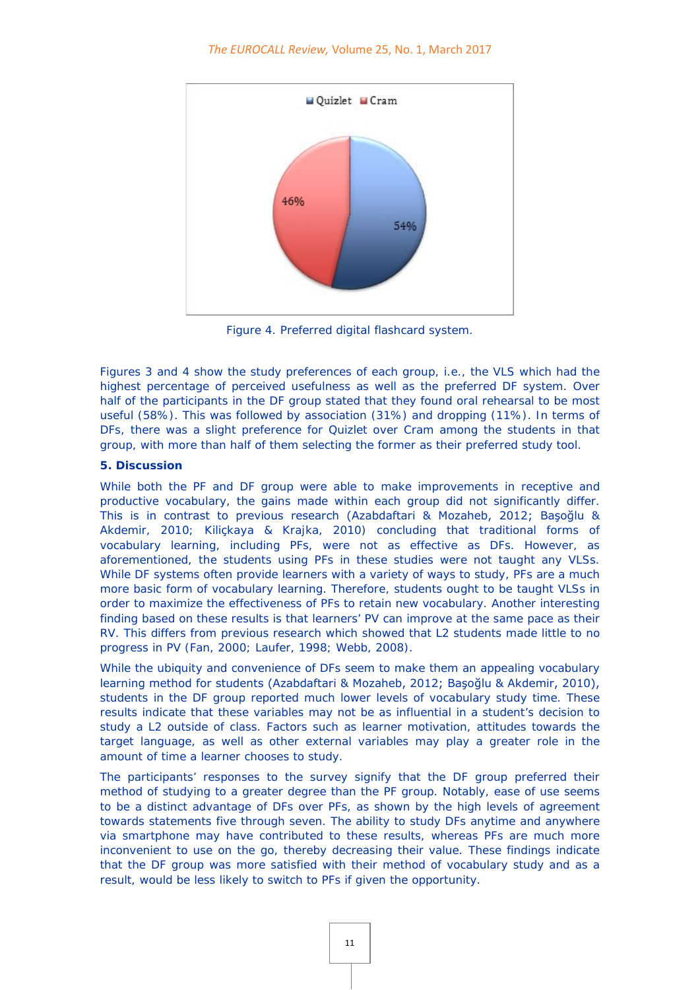

Figure 4. Preferred digital flashcard system.

Figures 3 and 4 show the study preferences of each group, i.e., the VLS which had the highest percentage of perceived usefulness as well as the preferred DF system. Over half of the participants in the DF group stated that they found oral rehearsal to be most useful (58%). This was followed by association (31%) and dropping (11%). In terms of DFs, there was a slight preference for Quizlet over Cram among the students in that group, with more than half of them selecting the former as their preferred study tool.

#### **5. Discussion**

While both the PF and DF group were able to make improvements in receptive and productive vocabulary, the gains made within each group did not significantly differ. This is in contrast to previous research (Azabdaftari & Mozaheb, 2012; Başoğlu & Akdemir, 2010; Kiliçkaya & Krajka, 2010) concluding that traditional forms of vocabulary learning, including PFs, were not as effective as DFs. However, as aforementioned, the students using PFs in these studies were not taught any VLSs. While DF systems often provide learners with a variety of ways to study, PFs are a much more basic form of vocabulary learning. Therefore, students ought to be taught VLSs in order to maximize the effectiveness of PFs to retain new vocabulary. Another interesting finding based on these results is that learners' PV can improve at the same pace as their RV. This differs from previous research which showed that L2 students made little to no progress in PV (Fan, 2000; Laufer, 1998; Webb, 2008).

While the ubiquity and convenience of DFs seem to make them an appealing vocabulary learning method for students (Azabdaftari & Mozaheb, 2012; Başoğlu & Akdemir, 2010), students in the DF group reported much lower levels of vocabulary study time. These results indicate that these variables may not be as influential in a student's decision to study a L2 outside of class. Factors such as learner motivation, attitudes towards the target language, as well as other external variables may play a greater role in the amount of time a learner chooses to study.

The participants' responses to the survey signify that the DF group preferred their method of studying to a greater degree than the PF group. Notably, ease of use seems to be a distinct advantage of DFs over PFs, as shown by the high levels of agreement towards statements five through seven. The ability to study DFs anytime and anywhere via smartphone may have contributed to these results, whereas PFs are much more inconvenient to use on the go, thereby decreasing their value. These findings indicate that the DF group was more satisfied with their method of vocabulary study and as a result, would be less likely to switch to PFs if given the opportunity.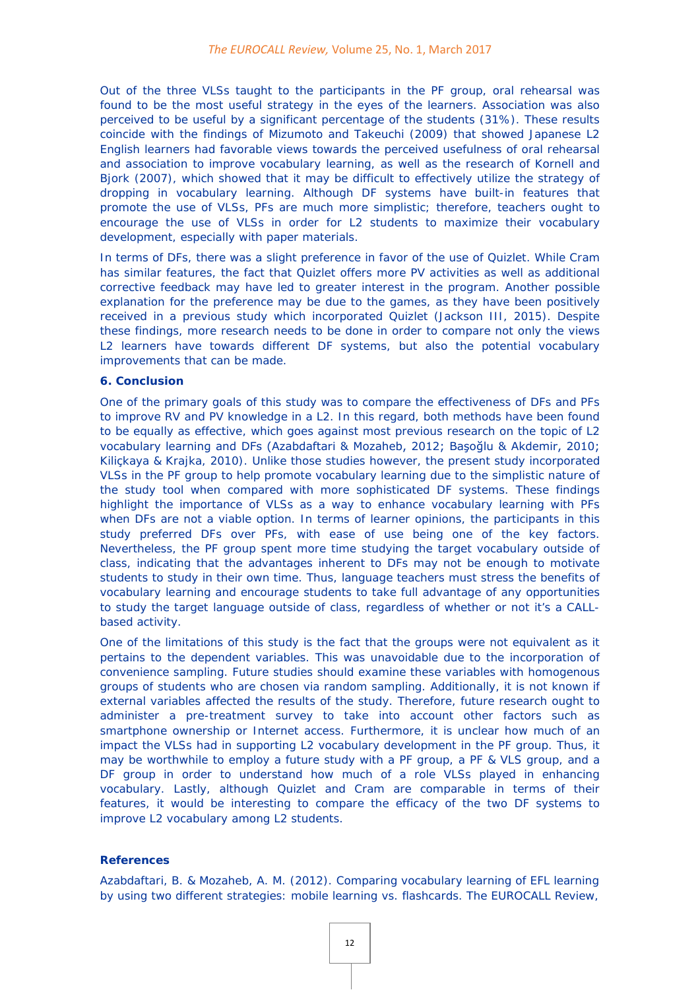Out of the three VLSs taught to the participants in the PF group, oral rehearsal was found to be the most useful strategy in the eyes of the learners. Association was also perceived to be useful by a significant percentage of the students (31%). These results coincide with the findings of Mizumoto and Takeuchi (2009) that showed Japanese L2 English learners had favorable views towards the perceived usefulness of oral rehearsal and association to improve vocabulary learning, as well as the research of Kornell and Bjork (2007), which showed that it may be difficult to effectively utilize the strategy of dropping in vocabulary learning. Although DF systems have built-in features that promote the use of VLSs, PFs are much more simplistic; therefore, teachers ought to encourage the use of VLSs in order for L2 students to maximize their vocabulary development, especially with paper materials.

In terms of DFs, there was a slight preference in favor of the use of Quizlet. While Cram has similar features, the fact that Quizlet offers more PV activities as well as additional corrective feedback may have led to greater interest in the program. Another possible explanation for the preference may be due to the games, as they have been positively received in a previous study which incorporated Quizlet (Jackson III, 2015). Despite these findings, more research needs to be done in order to compare not only the views L2 learners have towards different DF systems, but also the potential vocabulary improvements that can be made.

#### **6. Conclusion**

One of the primary goals of this study was to compare the effectiveness of DFs and PFs to improve RV and PV knowledge in a L2. In this regard, both methods have been found to be equally as effective, which goes against most previous research on the topic of L2 vocabulary learning and DFs (Azabdaftari & Mozaheb, 2012; Başoğlu & Akdemir, 2010; Kiliçkaya & Krajka, 2010). Unlike those studies however, the present study incorporated VLSs in the PF group to help promote vocabulary learning due to the simplistic nature of the study tool when compared with more sophisticated DF systems. These findings highlight the importance of VLSs as a way to enhance vocabulary learning with PFs when DFs are not a viable option. In terms of learner opinions, the participants in this study preferred DFs over PFs, with ease of use being one of the key factors. Nevertheless, the PF group spent more time studying the target vocabulary outside of class, indicating that the advantages inherent to DFs may not be enough to motivate students to study in their own time. Thus, language teachers must stress the benefits of vocabulary learning and encourage students to take full advantage of any opportunities to study the target language outside of class, regardless of whether or not it's a CALLbased activity.

One of the limitations of this study is the fact that the groups were not equivalent as it pertains to the dependent variables. This was unavoidable due to the incorporation of convenience sampling. Future studies should examine these variables with homogenous groups of students who are chosen via random sampling. Additionally, it is not known if external variables affected the results of the study. Therefore, future research ought to administer a pre-treatment survey to take into account other factors such as smartphone ownership or Internet access. Furthermore, it is unclear how much of an impact the VLSs had in supporting L2 vocabulary development in the PF group. Thus, it may be worthwhile to employ a future study with a PF group, a PF & VLS group, and a DF group in order to understand how much of a role VLSs played in enhancing vocabulary. Lastly, although Quizlet and Cram are comparable in terms of their features, it would be interesting to compare the efficacy of the two DF systems to improve L2 vocabulary among L2 students.

#### **References**

Azabdaftari, B. & Mozaheb, A. M. (2012). Comparing vocabulary learning of EFL learning by using two different strategies: mobile learning vs. flashcards. *The EUROCALL Review*,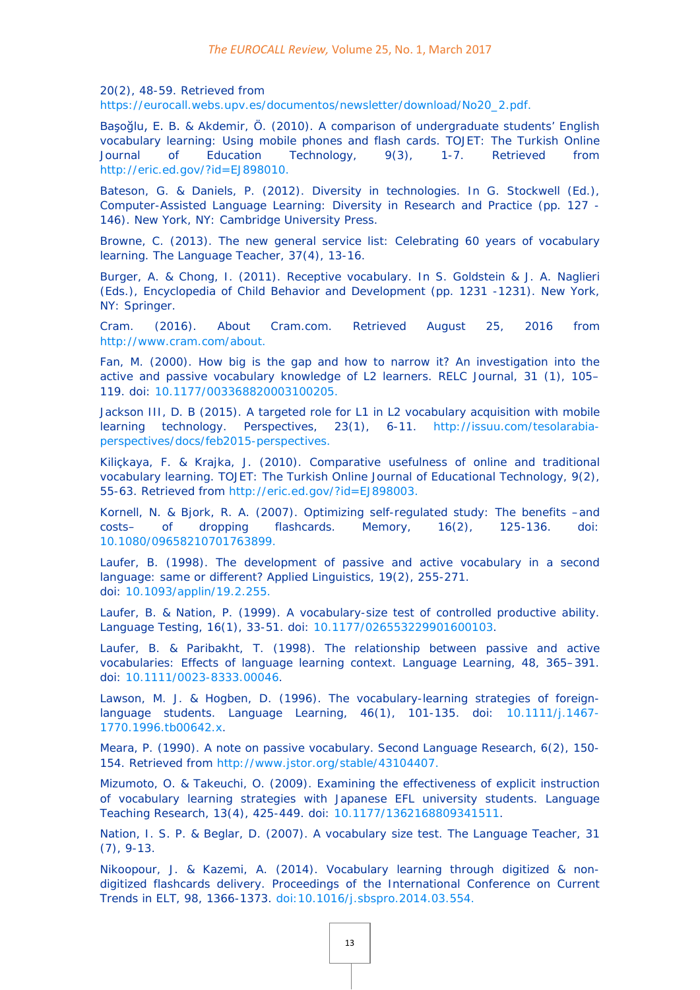*20*(2), 48-59. Retrieved from

[https://eurocall.webs.upv.es/documentos/newsletter/download/No20\\_2.pdf.](https://eurocall.webs.upv.es/documentos/newsletter/download/No20_2.pdf)

Başoğlu, E. B. & Akdemir, Ö. (2010). A comparison of undergraduate students' English vocabulary learning: Using mobile phones and flash cards. *TOJET: The Turkish Online Journal of Education Technology*, *9*(3), 1-7. Retrieved from [http://eric.ed.gov/?id=EJ898010.](http://eric.ed.gov/?id=EJ898010)

Bateson, G. & Daniels, P. (2012). Diversity in technologies. In G. Stockwell (Ed.), *Computer-Assisted Language Learning: Diversity in Research and Practice* (pp. 127 - 146). New York, NY: Cambridge University Press.

Browne, C. (2013). The new general service list: Celebrating 60 years of vocabulary learning. *The Language Teacher*, *37*(4), 13-16.

Burger, A. & Chong, I. (2011). Receptive vocabulary. In S. Goldstein & J. A. Naglieri (Eds.), *Encyclopedia of Child Behavior and Development* (pp. 1231 -1231). New York, NY: Springer.

Cram. (2016). About Cram.com. Retrieved August 25, 2016 from [http://www.cram.com/about.](http://www.cram.com/about)

Fan, M. (2000). How big is the gap and how to narrow it? An investigation into the active and passive vocabulary knowledge of L2 learners. *RELC Journal, 31* (1), 105– 119. doi: [10.1177/003368820003100205.](http://dx.doi.org/10.1177/003368820003100205)

Jackson III, D. B (2015). A targeted role for L1 in L2 vocabulary acquisition with mobile learning technology. *Perspectives*, *23*(1), 6-11. [http://issuu.com/tesolarabia](http://issuu.com/tesolarabia-perspectives/docs/feb2015-perspectives)[perspectives/docs/feb2015-perspectives.](http://issuu.com/tesolarabia-perspectives/docs/feb2015-perspectives)

Kiliçkaya, F. & Krajka, J. (2010). Comparative usefulness of online and traditional vocabulary learning. *TOJET: The Turkish Online Journal of Educational Technology*, *9*(2), 55-63. Retrieved from [http://eric.ed.gov/?id=EJ898003.](http://eric.ed.gov/?id=EJ898003)

Kornell, N. & Bjork, R. A. (2007). Optimizing self-regulated study: The benefits –and costs– of dropping flashcards. *Memory*, *16*(2), 125-136. doi: [10.1080/09658210701763899.](http://dx.doi.org/10.1080/09658210701763899)

Laufer, B. (1998). The development of passive and active vocabulary in a second language: same or different? *Applied Linguistics, 19*(2), 255-271. doi: [10.1093/applin/19.2.255.](http://dx.doi.org/10.1093/applin/19.2.255)

Laufer, B. & Nation, P. (1999). A vocabulary-size test of controlled productive ability. *Language Testing*, *16*(1), 33-51. doi: [10.1177/026553229901600103.](http://dx.doi.org/10.1177/026553229901600103)

Laufer, B. & Paribakht, T. (1998). The relationship between passive and active vocabularies: Effects of language learning context. *Language Learning*, *48*, 365–391. doi: [10.1111/0023-8333.00046.](http://dx.doi.org/10.1111/0023-8333.00046)

Lawson, M. J. & Hogben, D. (1996). The vocabulary-learning strategies of foreignlanguage students. *Language Learning*, *46*(1), 101-135. doi: [10.1111/j.1467-](http://dx.doi.org/10.1111/j.1467-1770.1996.tb00642.x) [1770.1996.tb00642.x.](http://dx.doi.org/10.1111/j.1467-1770.1996.tb00642.x)

Meara, P. (1990). A note on passive vocabulary. *Second Language Research, 6*(2), 150- 154. Retrieved from [http://www.jstor.org/stable/43104407.](http://www.jstor.org/stable/43104407)

Mizumoto, O. & Takeuchi, O. (2009). Examining the effectiveness of explicit instruction of vocabulary learning strategies with Japanese EFL university students. *Language Teaching Research*, *13*(4), 425-449. doi: [10.1177/1362168809341511.](http://dx.doi.org/10.1177/1362168809341511)

Nation, I. S. P. & Beglar, D. (2007). A vocabulary size test. *The Language Teacher*, *31* (7), 9-13.

Nikoopour, J. & Kazemi, A. (2014). Vocabulary learning through digitized & nondigitized flashcards delivery. *Proceedings of the International Conference on Current Trends in ELT*, *98*, 1366-1373. [doi:10.1016/j.sbspro.2014.03.554.](http://dx.doi.org/10.1016/j.sbspro.2014.03.554)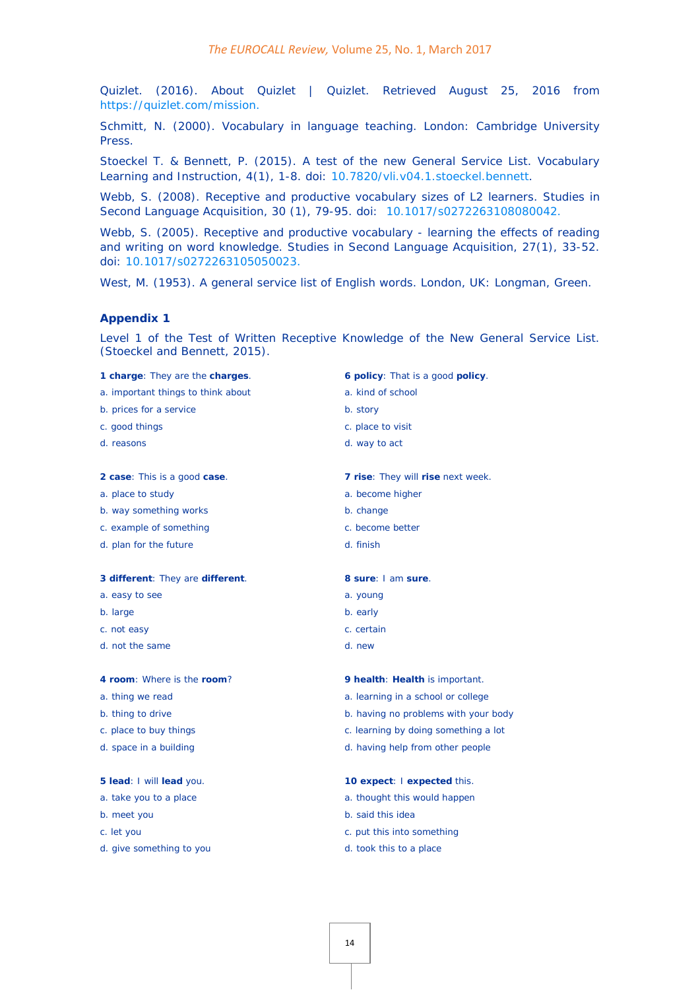Quizlet. (2016). About Quizlet | Quizlet. Retrieved August 25, 2016 from [https://quizlet.com/mission.](https://quizlet.com/mission)

Schmitt, N. (2000). *Vocabulary in language teaching*. London: Cambridge University Press.

Stoeckel T. & Bennett, P. (2015). A test of the new General Service List. *Vocabulary Learning and Instruction*, *4*(1), 1-8. doi: [10.7820/vli.v04.1.stoeckel.bennett.](http://dx.doi.org/10.7820/vli.v04.1.stoeckel.bennett)

Webb, S. (2008). Receptive and productive vocabulary sizes of L2 learners. *Studies in Second Language Acquisition, 30* (1), 79-95. doi: [10.1017/s0272263108080042.](http://dx.doi.org/10.1017/s0272263108080042)

Webb, S. (2005). Receptive and productive vocabulary - learning the effects of reading and writing on word knowledge. *Studies in Second Language Acquisition, 27*(1), 33-52. doi: [10.1017/s0272263105050023.](http://dx.doi.org/10.1017/s0272263105050023)

West, M. (1953). *A general service list of English words*. London, UK: Longman, Green.

#### **Appendix 1**

Level 1 of the Test of Written Receptive Knowledge of the New General Service List. (Stoeckel and Bennett, 2015).

**1 charge**: They are the **charges**.

- a. important things to think about
- b. prices for a service
- c. good things
- d. reasons
- **2 case**: This is a good **case**.
- a. place to study
- b. way something works
- c. example of something
- d. plan for the future

**3 different**: They are **different**.

- a. easy to see
- b. large
- c. not easy
- d. not the same

#### **4 room**: Where is the **room**?

- a. thing we read
- b. thing to drive
- c. place to buy things
- d. space in a building

#### **5 lead**: I will **lead** you.

- a. take you to a place
- b. meet you
- c. let you
- d. give something to you
- **6 policy**: That is a good **policy**.
- a. kind of school
- b. story
- c. place to visit
- d. way to act
- **7 rise**: They will **rise** next week.
- a. become higher
- b. change
- c. become better
- d. finish
- **8 sure**: I am **sure**.
- 
- b. early
- c. certain
- d. new

#### **9 health**: **Health** is important.

- a. learning in a school or college
- b. having no problems with your body
- c. learning by doing something a lot
- d. having help from other people

#### **10 expect**: I **expected** this.

- a. thought this would happen
- b. said this idea
- c. put this into something
- d. took this to a place

# a. young